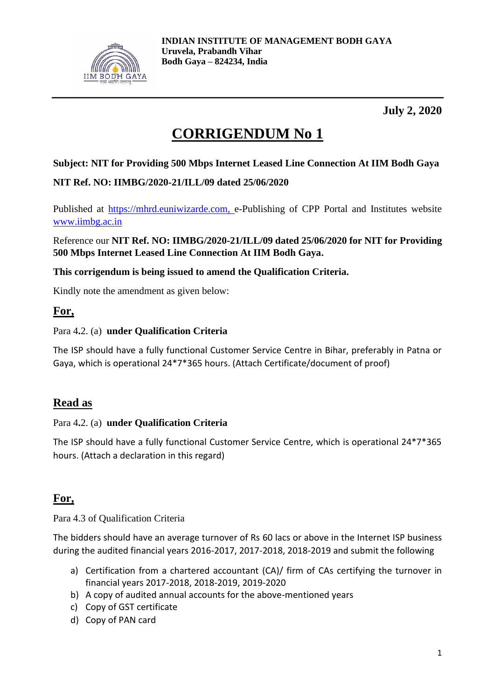

**July 2, 2020**

# **CORRIGENDUM No 1**

#### **Subject: NIT for Providing 500 Mbps Internet Leased Line Connection At IIM Bodh Gaya**

#### **NIT Ref. NO: IIMBG/2020-21/ILL/09 dated 25/06/2020**

Published at [https://mhrd.euniwizarde.com,](https://mhrd.euniwizarde.com/) e-Publishing of CPP Portal and Institutes website [www.iimbg.ac.in](http://www.iimbg.ac.in/)

Reference our **NIT Ref. NO: IIMBG/2020-21/ILL/09 dated 25/06/2020 for NIT for Providing 500 Mbps Internet Leased Line Connection At IIM Bodh Gaya.**

#### **This corrigendum is being issued to amend the Qualification Criteria.**

Kindly note the amendment as given below:

#### **For,**

#### Para 4**.**2. (a) **under Qualification Criteria**

The ISP should have a fully functional Customer Service Centre in Bihar, preferably in Patna or Gaya, which is operational 24\*7\*365 hours. (Attach Certificate/document of proof)

### **Read as**

#### Para 4**.**2. (a) **under Qualification Criteria**

The ISP should have a fully functional Customer Service Centre, which is operational 24\*7\*365 hours. (Attach a declaration in this regard)

### **For,**

Para 4.3 of Qualification Criteria

The bidders should have an average turnover of Rs 60 lacs or above in the Internet ISP business during the audited financial years 2016-2017, 2017-2018, 2018-2019 and submit the following

- a) Certification from a chartered accountant (CA)/ firm of CAs certifying the turnover in financial years 2017-2018, 2018-2019, 2019-2020
- b) A copy of audited annual accounts for the above-mentioned years
- c) Copy of GST certificate
- d) Copy of PAN card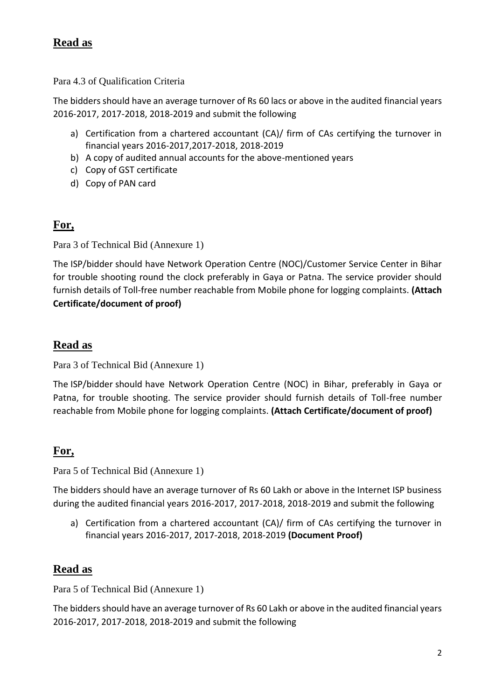## **Read as**

Para 4.3 of Qualification Criteria

The bidders should have an average turnover of Rs 60 lacs or above in the audited financial years 2016-2017, 2017-2018, 2018-2019 and submit the following

- a) Certification from a chartered accountant (CA)/ firm of CAs certifying the turnover in financial years 2016-2017,2017-2018, 2018-2019
- b) A copy of audited annual accounts for the above-mentioned years
- c) Copy of GST certificate
- d) Copy of PAN card

### **For,**

Para 3 of Technical Bid (Annexure 1)

The ISP/bidder should have Network Operation Centre (NOC)/Customer Service Center in Bihar for trouble shooting round the clock preferably in Gaya or Patna. The service provider should furnish details of Toll-free number reachable from Mobile phone for logging complaints. **(Attach Certificate/document of proof)**

### **Read as**

Para 3 of Technical Bid (Annexure 1)

The ISP/bidder should have Network Operation Centre (NOC) in Bihar, preferably in Gaya or Patna, for trouble shooting. The service provider should furnish details of Toll-free number reachable from Mobile phone for logging complaints. **(Attach Certificate/document of proof)**

# **For,**

Para 5 of Technical Bid (Annexure 1)

The bidders should have an average turnover of Rs 60 Lakh or above in the Internet ISP business during the audited financial years 2016-2017, 2017-2018, 2018-2019 and submit the following

a) Certification from a chartered accountant (CA)/ firm of CAs certifying the turnover in financial years 2016-2017, 2017-2018, 2018-2019 **(Document Proof)**

# **Read as**

Para 5 of Technical Bid (Annexure 1)

The bidders should have an average turnover of Rs 60 Lakh or above in the audited financial years 2016-2017, 2017-2018, 2018-2019 and submit the following